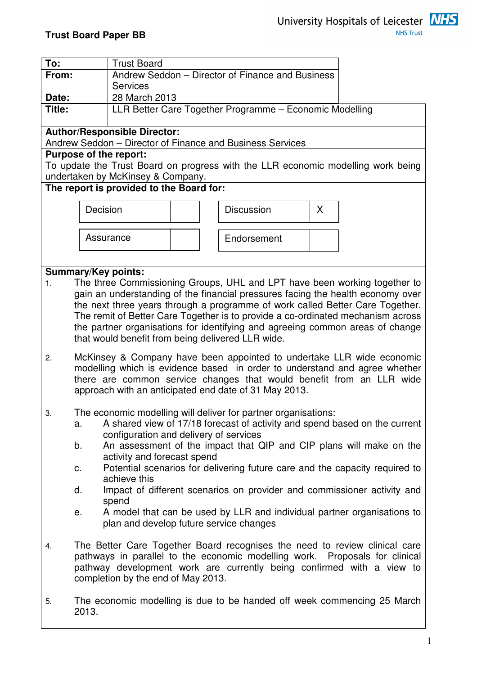

| To:   | <b>Trust Board</b>                                                                                                                                                                                                                                                                                                                                                                                                                                                     |                                                  |                                                           |                                                                                  |  |  |  |  |
|-------|------------------------------------------------------------------------------------------------------------------------------------------------------------------------------------------------------------------------------------------------------------------------------------------------------------------------------------------------------------------------------------------------------------------------------------------------------------------------|--------------------------------------------------|-----------------------------------------------------------|----------------------------------------------------------------------------------|--|--|--|--|
| From: |                                                                                                                                                                                                                                                                                                                                                                                                                                                                        | Andrew Seddon - Director of Finance and Business |                                                           |                                                                                  |  |  |  |  |
|       |                                                                                                                                                                                                                                                                                                                                                                                                                                                                        | <b>Services</b>                                  |                                                           |                                                                                  |  |  |  |  |
| Date: |                                                                                                                                                                                                                                                                                                                                                                                                                                                                        | 28 March 2013                                    |                                                           |                                                                                  |  |  |  |  |
|       | LLR Better Care Together Programme - Economic Modelling<br>Title:                                                                                                                                                                                                                                                                                                                                                                                                      |                                                  |                                                           |                                                                                  |  |  |  |  |
|       | <b>Author/Responsible Director:</b>                                                                                                                                                                                                                                                                                                                                                                                                                                    |                                                  | Andrew Seddon - Director of Finance and Business Services |                                                                                  |  |  |  |  |
|       | Purpose of the report:                                                                                                                                                                                                                                                                                                                                                                                                                                                 |                                                  |                                                           |                                                                                  |  |  |  |  |
|       | undertaken by McKinsey & Company.                                                                                                                                                                                                                                                                                                                                                                                                                                      |                                                  |                                                           | To update the Trust Board on progress with the LLR economic modelling work being |  |  |  |  |
|       | The report is provided to the Board for:                                                                                                                                                                                                                                                                                                                                                                                                                               |                                                  |                                                           |                                                                                  |  |  |  |  |
|       | Decision                                                                                                                                                                                                                                                                                                                                                                                                                                                               |                                                  | <b>Discussion</b>                                         | X                                                                                |  |  |  |  |
|       | Assurance                                                                                                                                                                                                                                                                                                                                                                                                                                                              |                                                  | Endorsement                                               |                                                                                  |  |  |  |  |
|       |                                                                                                                                                                                                                                                                                                                                                                                                                                                                        |                                                  |                                                           |                                                                                  |  |  |  |  |
|       | <b>Summary/Key points:</b>                                                                                                                                                                                                                                                                                                                                                                                                                                             |                                                  |                                                           |                                                                                  |  |  |  |  |
| 1.    | The three Commissioning Groups, UHL and LPT have been working together to<br>gain an understanding of the financial pressures facing the health economy over<br>the next three years through a programme of work called Better Care Together.<br>The remit of Better Care Together is to provide a co-ordinated mechanism across<br>the partner organisations for identifying and agreeing common areas of change<br>that would benefit from being delivered LLR wide. |                                                  |                                                           |                                                                                  |  |  |  |  |
| 2.    | McKinsey & Company have been appointed to undertake LLR wide economic<br>modelling which is evidence based in order to understand and agree whether<br>there are common service changes that would benefit from an LLR wide<br>approach with an anticipated end date of 31 May 2013.                                                                                                                                                                                   |                                                  |                                                           |                                                                                  |  |  |  |  |
| 3.    | The economic modelling will deliver for partner organisations:<br>A shared view of 17/18 forecast of activity and spend based on the current<br>a.<br>configuration and delivery of services                                                                                                                                                                                                                                                                           |                                                  |                                                           |                                                                                  |  |  |  |  |
|       | b.                                                                                                                                                                                                                                                                                                                                                                                                                                                                     |                                                  |                                                           | An assessment of the impact that QIP and CIP plans will make on the              |  |  |  |  |
|       | activity and forecast spend<br>Potential scenarios for delivering future care and the capacity required to<br>C.<br>achieve this                                                                                                                                                                                                                                                                                                                                       |                                                  |                                                           |                                                                                  |  |  |  |  |
|       | Impact of different scenarios on provider and commissioner activity and<br>d.<br>spend                                                                                                                                                                                                                                                                                                                                                                                 |                                                  |                                                           |                                                                                  |  |  |  |  |
|       | е.                                                                                                                                                                                                                                                                                                                                                                                                                                                                     | plan and develop future service changes          |                                                           | A model that can be used by LLR and individual partner organisations to          |  |  |  |  |
| 4.    | The Better Care Together Board recognises the need to review clinical care<br>pathways in parallel to the economic modelling work. Proposals for clinical<br>pathway development work are currently being confirmed with a view to<br>completion by the end of May 2013.                                                                                                                                                                                               |                                                  |                                                           |                                                                                  |  |  |  |  |
| 5.    | The economic modelling is due to be handed off week commencing 25 March<br>2013.                                                                                                                                                                                                                                                                                                                                                                                       |                                                  |                                                           |                                                                                  |  |  |  |  |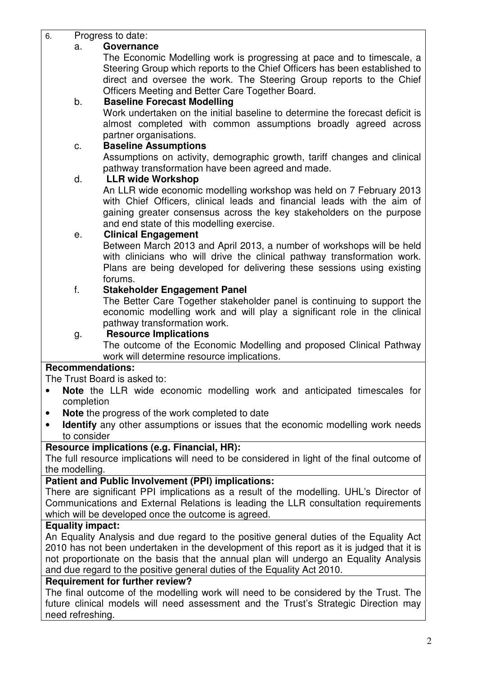| 6.        |                | Progress to date:                                                                          |
|-----------|----------------|--------------------------------------------------------------------------------------------|
|           | a.             | Governance                                                                                 |
|           |                | The Economic Modelling work is progressing at pace and to timescale, a                     |
|           |                | Steering Group which reports to the Chief Officers has been established to                 |
|           |                | direct and oversee the work. The Steering Group reports to the Chief                       |
|           |                | Officers Meeting and Better Care Together Board.                                           |
|           | b.             | <b>Baseline Forecast Modelling</b>                                                         |
|           |                | Work undertaken on the initial baseline to determine the forecast deficit is               |
|           |                | almost completed with common assumptions broadly agreed across                             |
|           |                | partner organisations.                                                                     |
|           | c.             | <b>Baseline Assumptions</b>                                                                |
|           |                | Assumptions on activity, demographic growth, tariff changes and clinical                   |
|           |                | pathway transformation have been agreed and made.                                          |
|           | d.             | <b>LLR wide Workshop</b>                                                                   |
|           |                | An LLR wide economic modelling workshop was held on 7 February 2013                        |
|           |                | with Chief Officers, clinical leads and financial leads with the aim of                    |
|           |                | gaining greater consensus across the key stakeholders on the purpose                       |
|           |                | and end state of this modelling exercise.                                                  |
|           | е.             | <b>Clinical Engagement</b>                                                                 |
|           |                | Between March 2013 and April 2013, a number of workshops will be held                      |
|           |                | with clinicians who will drive the clinical pathway transformation work.                   |
|           |                | Plans are being developed for delivering these sessions using existing                     |
|           |                | forums.                                                                                    |
|           | f.             | <b>Stakeholder Engagement Panel</b>                                                        |
|           |                | The Better Care Together stakeholder panel is continuing to support the                    |
|           |                | economic modelling work and will play a significant role in the clinical                   |
|           |                | pathway transformation work.                                                               |
|           | g.             | <b>Resource Implications</b>                                                               |
|           |                | The outcome of the Economic Modelling and proposed Clinical Pathway                        |
|           |                | work will determine resource implications.                                                 |
|           |                | <b>Recommendations:</b>                                                                    |
|           |                | The Trust Board is asked to:                                                               |
| $\bullet$ |                | Note the LLR wide economic modelling work and anticipated timescales for                   |
|           | completion     |                                                                                            |
|           |                | Note the progress of the work completed to date                                            |
|           |                | Identify any other assumptions or issues that the economic modelling work needs            |
|           | to consider    |                                                                                            |
|           |                | Resource implications (e.g. Financial, HR):                                                |
|           | the modelling. | The full resource implications will need to be considered in light of the final outcome of |
|           |                |                                                                                            |

### **Patient and Public Involvement (PPI) implications:**

There are significant PPI implications as a result of the modelling. UHL's Director of Communications and External Relations is leading the LLR consultation requirements which will be developed once the outcome is agreed.

### **Equality impact:**

An Equality Analysis and due regard to the positive general duties of the Equality Act 2010 has not been undertaken in the development of this report as it is judged that it is not proportionate on the basis that the annual plan will undergo an Equality Analysis and due regard to the positive general duties of the Equality Act 2010.

### **Requirement for further review?**

The final outcome of the modelling work will need to be considered by the Trust. The future clinical models will need assessment and the Trust's Strategic Direction may need refreshing.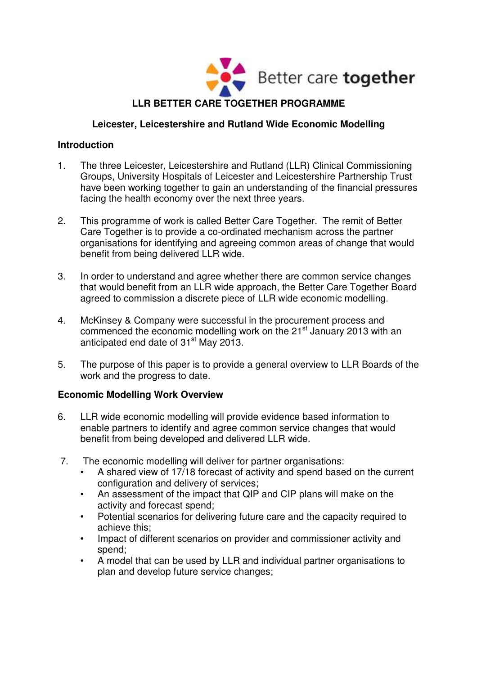

# **Leicester, Leicestershire and Rutland Wide Economic Modelling**

# **Introduction**

- 1. The three Leicester, Leicestershire and Rutland (LLR) Clinical Commissioning Groups, University Hospitals of Leicester and Leicestershire Partnership Trust have been working together to gain an understanding of the financial pressures facing the health economy over the next three years.
- 2. This programme of work is called Better Care Together. The remit of Better Care Together is to provide a co-ordinated mechanism across the partner organisations for identifying and agreeing common areas of change that would benefit from being delivered LLR wide.
- 3. In order to understand and agree whether there are common service changes that would benefit from an LLR wide approach, the Better Care Together Board agreed to commission a discrete piece of LLR wide economic modelling.
- 4. McKinsey & Company were successful in the procurement process and commenced the economic modelling work on the 21<sup>st</sup> January 2013 with an anticipated end date of  $31<sup>st</sup>$  May 2013.
- 5. The purpose of this paper is to provide a general overview to LLR Boards of the work and the progress to date.

# **Economic Modelling Work Overview**

- 6. LLR wide economic modelling will provide evidence based information to enable partners to identify and agree common service changes that would benefit from being developed and delivered LLR wide.
- 7. The economic modelling will deliver for partner organisations:
	- A shared view of 17/18 forecast of activity and spend based on the current configuration and delivery of services;
	- An assessment of the impact that QIP and CIP plans will make on the activity and forecast spend;
	- Potential scenarios for delivering future care and the capacity required to achieve this;
	- Impact of different scenarios on provider and commissioner activity and spend;
	- A model that can be used by LLR and individual partner organisations to plan and develop future service changes;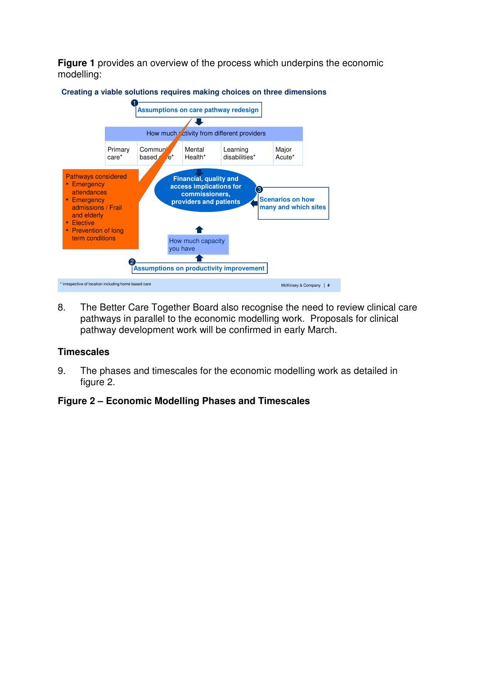**Figure 1** provides an overview of the process which underpins the economic modelling:



#### **Creating a viable solutions requires making choices on three dimensions**

8. The Better Care Together Board also recognise the need to review clinical care pathways in parallel to the economic modelling work. Proposals for clinical pathway development work will be confirmed in early March.

### **Timescales**

9. The phases and timescales for the economic modelling work as detailed in figure 2.

### **Figure 2 – Economic Modelling Phases and Timescales**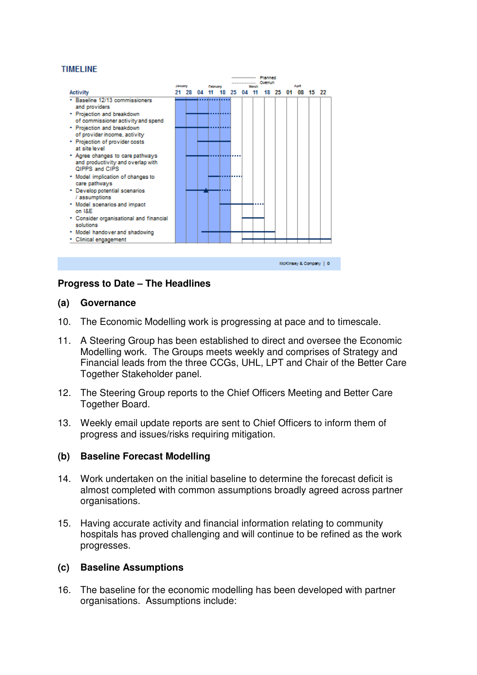#### **TIMELINE**



### **Progress to Date – The Headlines**

#### **(a) Governance**

- 10. The Economic Modelling work is progressing at pace and to timescale.
- 11. A Steering Group has been established to direct and oversee the Economic Modelling work. The Groups meets weekly and comprises of Strategy and Financial leads from the three CCGs, UHL, LPT and Chair of the Better Care Together Stakeholder panel.
- 12. The Steering Group reports to the Chief Officers Meeting and Better Care Together Board.
- 13. Weekly email update reports are sent to Chief Officers to inform them of progress and issues/risks requiring mitigation.

### **(b) Baseline Forecast Modelling**

- 14. Work undertaken on the initial baseline to determine the forecast deficit is almost completed with common assumptions broadly agreed across partner organisations.
- 15. Having accurate activity and financial information relating to community hospitals has proved challenging and will continue to be refined as the work progresses.

### **(c) Baseline Assumptions**

16. The baseline for the economic modelling has been developed with partner organisations. Assumptions include: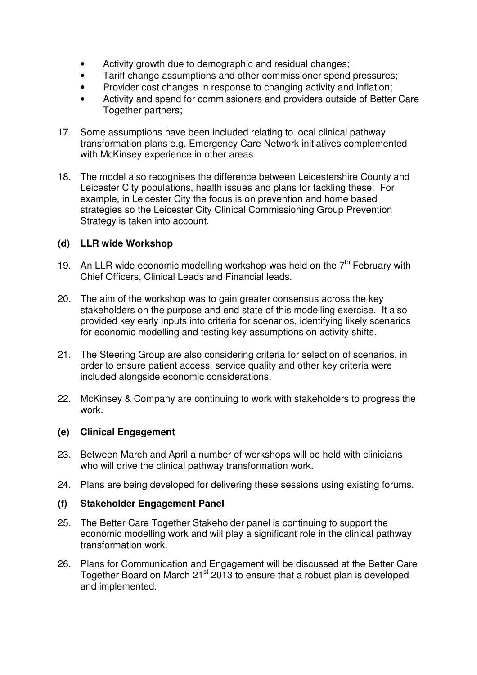- Activity growth due to demographic and residual changes;
- Tariff change assumptions and other commissioner spend pressures;
- Provider cost changes in response to changing activity and inflation;
- Activity and spend for commissioners and providers outside of Better Care Together partners;
- 17. Some assumptions have been included relating to local clinical pathway transformation plans e.g. Emergency Care Network initiatives complemented with McKinsey experience in other areas.
- 18. The model also recognises the difference between Leicestershire County and Leicester City populations, health issues and plans for tackling these. For example, in Leicester City the focus is on prevention and home based strategies so the Leicester City Clinical Commissioning Group Prevention Strategy is taken into account.

# **(d) LLR wide Workshop**

- 19. An LLR wide economic modelling workshop was held on the  $7<sup>th</sup>$  February with Chief Officers, Clinical Leads and Financial leads.
- 20. The aim of the workshop was to gain greater consensus across the key stakeholders on the purpose and end state of this modelling exercise. It also provided key early inputs into criteria for scenarios, identifying likely scenarios for economic modelling and testing key assumptions on activity shifts.
- 21. The Steering Group are also considering criteria for selection of scenarios, in order to ensure patient access, service quality and other key criteria were included alongside economic considerations.
- 22. McKinsey & Company are continuing to work with stakeholders to progress the work.

# **(e) Clinical Engagement**

- 23. Between March and April a number of workshops will be held with clinicians who will drive the clinical pathway transformation work.
- 24. Plans are being developed for delivering these sessions using existing forums.

### **(f) Stakeholder Engagement Panel**

- 25. The Better Care Together Stakeholder panel is continuing to support the economic modelling work and will play a significant role in the clinical pathway transformation work.
- 26. Plans for Communication and Engagement will be discussed at the Better Care Together Board on March 21<sup>st</sup> 2013 to ensure that a robust plan is developed and implemented.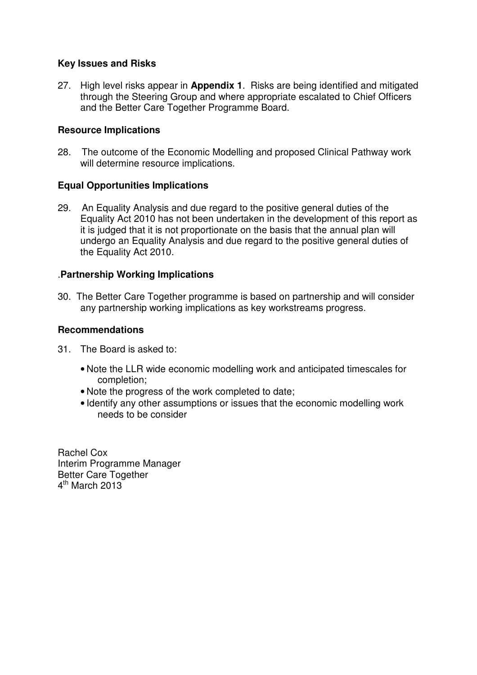# **Key Issues and Risks**

27. High level risks appear in **Appendix 1**. Risks are being identified and mitigated through the Steering Group and where appropriate escalated to Chief Officers and the Better Care Together Programme Board.

# **Resource Implications**

28. The outcome of the Economic Modelling and proposed Clinical Pathway work will determine resource implications.

# **Equal Opportunities Implications**

29. An Equality Analysis and due regard to the positive general duties of the Equality Act 2010 has not been undertaken in the development of this report as it is judged that it is not proportionate on the basis that the annual plan will undergo an Equality Analysis and due regard to the positive general duties of the Equality Act 2010.

# .**Partnership Working Implications**

30. The Better Care Together programme is based on partnership and will consider any partnership working implications as key workstreams progress.

### **Recommendations**

- 31. The Board is asked to:
	- Note the LLR wide economic modelling work and anticipated timescales for completion;
	- Note the progress of the work completed to date;
	- Identify any other assumptions or issues that the economic modelling work needs to be consider

Rachel Cox Interim Programme Manager Better Care Together 4<sup>th</sup> March 2013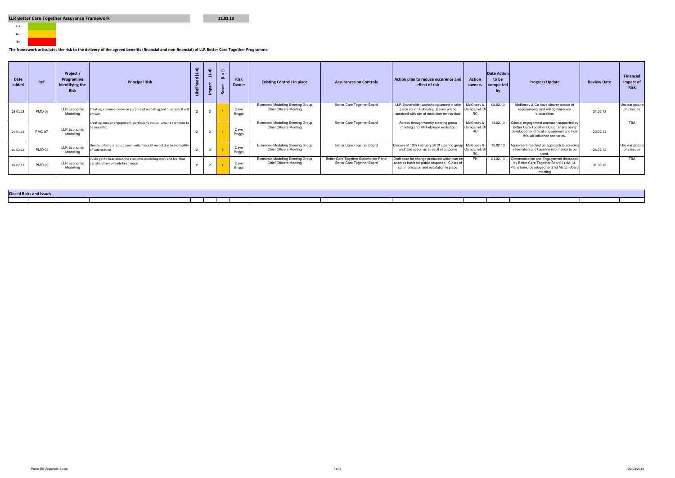

#### The framework articulates the risk to the delivery of the agreed benefits (financial and non-financial) of LLR Better Care Together Programme

| <b>Date</b><br>added | Ref.          | Project /<br>Programme<br>Identifying the<br><b>Risk</b> | <b>Principal Risk</b>                                                                                  | $\widehat{r}$<br>호 | ≈ | $\equiv$<br>$\mathbf{x}$<br>ے<br>ت<br>Ū. | <b>Risk</b><br>Owner  | <b>Existing Controls in place</b>                                  | <b>Assurances on Controls</b>                                        | Action plan to reduce occurence and<br>effect of risk                                                                                 | <b>Action</b><br>owners          | <b>Date Action</b><br>to be<br>completed<br>/ by | <b>Progress Update</b>                                                                                                                                              | <b>Review Date</b> | Financial<br>Impact of<br><b>Risk</b> |
|----------------------|---------------|----------------------------------------------------------|--------------------------------------------------------------------------------------------------------|--------------------|---|------------------------------------------|-----------------------|--------------------------------------------------------------------|----------------------------------------------------------------------|---------------------------------------------------------------------------------------------------------------------------------------|----------------------------------|--------------------------------------------------|---------------------------------------------------------------------------------------------------------------------------------------------------------------------|--------------------|---------------------------------------|
| 28.01.13             | <b>PMO 06</b> | <b>LLR Economic</b><br>Modelling                         | Creating a common view on purpose of modelling and questions it will<br>answer                         |                    |   |                                          | Dave<br><b>Briggs</b> | Economic Modelling Steering Group<br><b>Chief Officers Meeting</b> | Better Care Together Board                                           | LLR Stakeholder workshop planned to take<br>place on 7th February. Issues will be<br>surafced with aim of resolution on this date     | McKinsey &<br>Company/DB/<br>RC. | 08.02.13                                         | McKinsey & Co have clearer picture of<br>requirements and will continue key<br>discussions                                                                          | 31.03.13           | Unclear picture<br>of £ issues        |
| 28.01.13             | <b>PMO 07</b> | <b>LLR Economic</b><br>Modelling                         | Creating enough engagement, particularly clinical, around scenarios to<br>be modelled.                 |                    |   |                                          | Dave<br><b>Briggs</b> | Economic Modelling Steering Group<br><b>Chief Officers Meeting</b> | Better Care Together Board                                           | Adress through weekly steering group<br>meeting and 7th February workshop                                                             | McKinsey<br>Company/DB/<br>RC.   | 14.02.13                                         | Clinical engagement approach supported by<br>Better Care Together Board. Plans being<br>developed for clinical engagement and how<br>this will influence scenarios. | 20.02.13           | TBA                                   |
| 07.02.13             | <b>PMO 08</b> | <b>LLR Economic</b><br>Modelling                         | Unable to build a robust community financial model due to availability<br>of information               |                    | 3 |                                          | Dave<br><b>Briggs</b> | Economic Modelling Steering Group<br><b>Chief Officers Meeting</b> | Better Care Together Board                                           | Discuss at 13th February 2013 steering group McKinsey 8<br>and take action as a result of outcome                                     | Company/DB<br>RC.                | 15.02.13                                         | Agreement reached on approach to sourcing<br>information and baseline information to be<br>nsed                                                                     | 28.02.13           | Unclear picture<br>of £ issues        |
| 07.02.13             | <b>PMO 09</b> | <b>LLR Economic</b><br>Modelling                         | Public get to hear about the economic modelling work and feel that<br>decisions have already been made |                    |   |                                          | Dave<br><b>Briggs</b> | Economic Modelling Steering Group<br><b>Chief Officers Meeting</b> | Better Care Together Stakeholder Panel<br>Better Care Together Board | Oraft case for change produced which can be<br>used as basis for public response. Clears of<br>communication and escalation in place. | FH.                              | 21.02.13                                         | Communication and Engagement discussed<br>by Better Care Together Board 21.02.13.<br>Plans being developed for 21st March Board<br>meeting                          | 31.03.13           | <b>TBA</b>                            |

21.02.13

| <b>Closed Risks and Issues</b> |  |  |  |  |
|--------------------------------|--|--|--|--|
|                                |  |  |  |  |